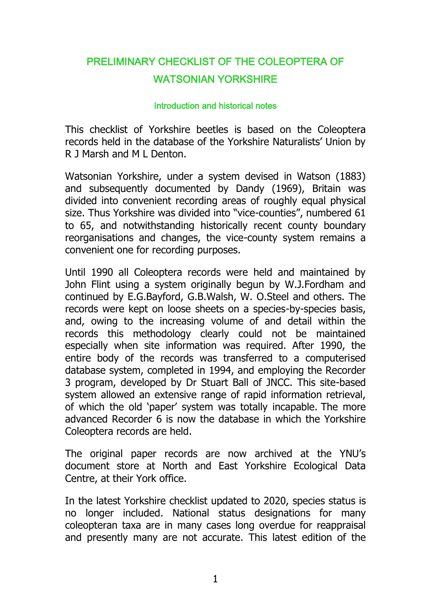# PRELIMINARY CHECKLIST OF THE COLEOPTERA OF WATSONIAN YORKSHIRE

#### Introduction and historical notes

This checklist of Yorkshire beetles is based on the Coleoptera records held in the database of the Yorkshire Naturalists' Union by R J Marsh and M L Denton.

Watsonian Yorkshire, under a system devised in Watson (1883) and subsequently documented by Dandy (1969), Britain was divided into convenient recording areas of roughly equal physical size. Thus Yorkshire was divided into "vice-counties", numbered 61 to 65, and notwithstanding historically recent county boundary reorganisations and changes, the vice-county system remains a convenient one for recording purposes.

Until 1990 all Coleoptera records were held and maintained by John Flint using a system originally begun by W.J.Fordham and continued by E.G.Bayford, G.B.Walsh, W. O.Steel and others. The records were kept on loose sheets on a species-by-species basis, and, owing to the increasing volume of and detail within the records this methodology clearly could not be maintained especially when site information was required. After 1990, the entire body of the records was transferred to a computerised database system, completed in 1994, and employing the Recorder 3 program, developed by Dr Stuart Ball of JNCC. This site-based system allowed an extensive range of rapid information retrieval, of which the old 'paper' system was totally incapable. The more advanced Recorder 6 is now the database in which the Yorkshire Coleoptera records are held.

The original paper records are now archived at the YNU's document store at North and East Yorkshire Ecological Data Centre, at their York office.

In the latest Yorkshire checklist updated to 2020, species status is no longer included. National status designations for many coleopteran taxa are in many cases long overdue for reappraisal and presently many are not accurate. This latest edition of the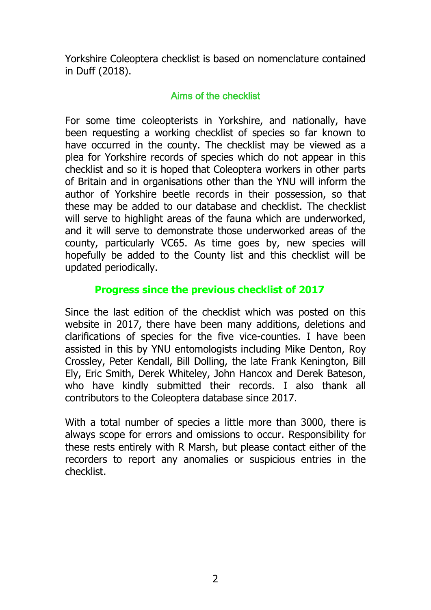Yorkshire Coleoptera checklist is based on nomenclature contained in Duff (2018).

# Aims of the checklist

For some time coleopterists in Yorkshire, and nationally, have been requesting a working checklist of species so far known to have occurred in the county. The checklist may be viewed as a plea for Yorkshire records of species which do not appear in this checklist and so it is hoped that Coleoptera workers in other parts of Britain and in organisations other than the YNU will inform the author of Yorkshire beetle records in their possession, so that these may be added to our database and checklist. The checklist will serve to highlight areas of the fauna which are underworked, and it will serve to demonstrate those underworked areas of the county, particularly VC65. As time goes by, new species will hopefully be added to the County list and this checklist will be updated periodically.

## **Progress since the previous checklist of 2017**

Since the last edition of the checklist which was posted on this website in 2017, there have been many additions, deletions and clarifications of species for the five vice-counties. I have been assisted in this by YNU entomologists including Mike Denton, Roy Crossley, Peter Kendall, Bill Dolling, the late Frank Kenington, Bill Ely, Eric Smith, Derek Whiteley, John Hancox and Derek Bateson, who have kindly submitted their records. I also thank all contributors to the Coleoptera database since 2017.

With a total number of species a little more than 3000, there is always scope for errors and omissions to occur. Responsibility for these rests entirely with R Marsh, but please contact either of the recorders to report any anomalies or suspicious entries in the checklist.